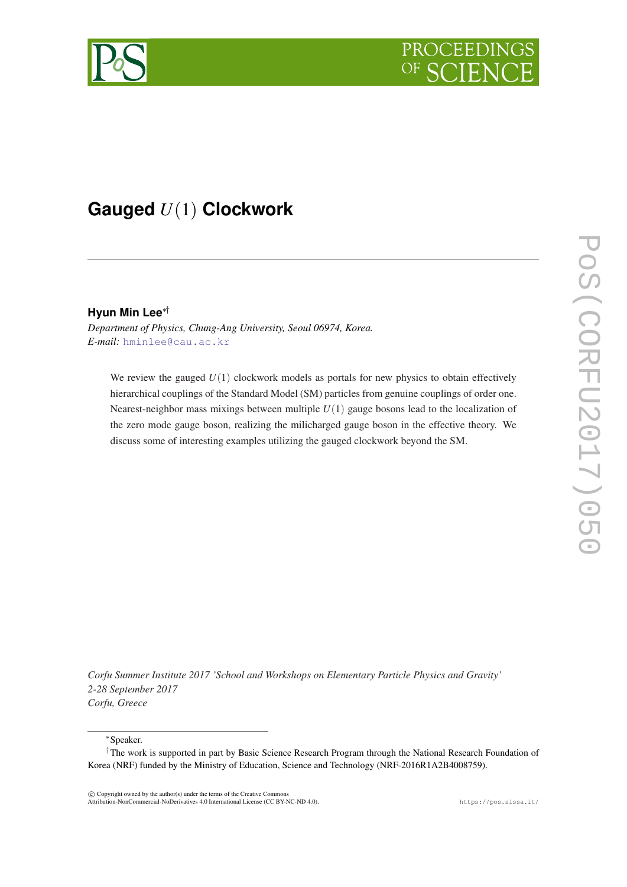



# **Gauged** *U*(1) **Clockwork**

## **Hyun Min Lee**∗†

*Department of Physics, Chung-Ang University, Seoul 06974, Korea. E-mail:* [hminlee@cau.ac.kr](mailto:hminlee@cau.ac.kr)

We review the gauged  $U(1)$  clockwork models as portals for new physics to obtain effectively hierarchical couplings of the Standard Model (SM) particles from genuine couplings of order one. Nearest-neighbor mass mixings between multiple  $U(1)$  gauge bosons lead to the localization of the zero mode gauge boson, realizing the milicharged gauge boson in the effective theory. We discuss some of interesting examples utilizing the gauged clockwork beyond the SM.

*Corfu Summer Institute 2017 'School and Workshops on Elementary Particle Physics and Gravity' 2-28 September 2017 Corfu, Greece*

<sup>∗</sup>Speaker.

 $\overline{c}$  Copyright owned by the author(s) under the terms of the Creative Common Attribution-NonCommercial-NoDerivatives 4.0 International License (CC BY-NC-ND 4.0). https://pos.sissa.it/

<sup>†</sup>The work is supported in part by Basic Science Research Program through the National Research Foundation of Korea (NRF) funded by the Ministry of Education, Science and Technology (NRF-2016R1A2B4008759).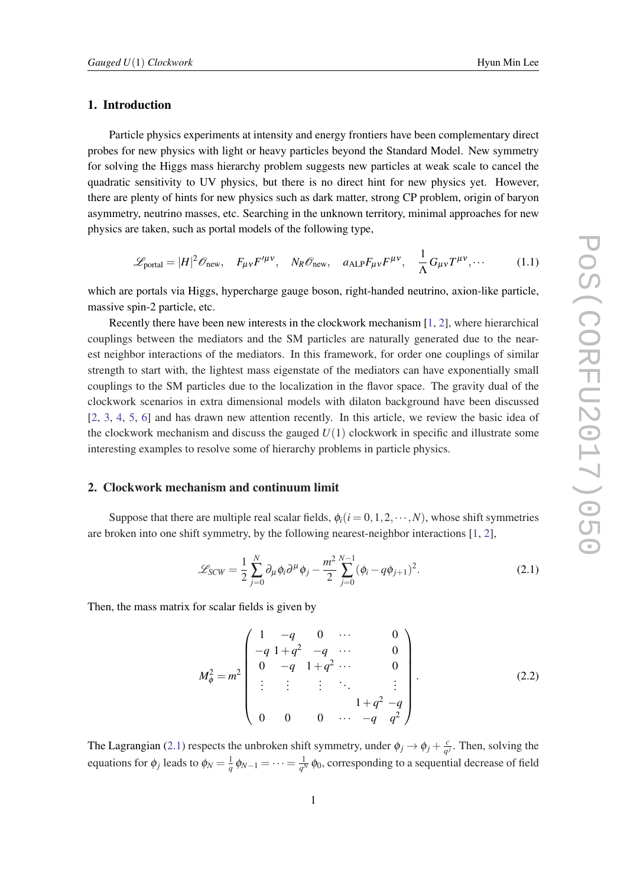# <span id="page-1-0"></span>1. Introduction

Particle physics experiments at intensity and energy frontiers have been complementary direct probes for new physics with light or heavy particles beyond the Standard Model. New symmetry for solving the Higgs mass hierarchy problem suggests new particles at weak scale to cancel the quadratic sensitivity to UV physics, but there is no direct hint for new physics yet. However, there are plenty of hints for new physics such as dark matter, strong CP problem, origin of baryon asymmetry, neutrino masses, etc. Searching in the unknown territory, minimal approaches for new physics are taken, such as portal models of the following type,

$$
\mathcal{L}_{\text{portal}} = |H|^2 \mathcal{O}_{\text{new}}, \quad F_{\mu\nu} F'^{\mu\nu}, \quad N_R \mathcal{O}_{\text{new}}, \quad a_{\text{ALP}} F_{\mu\nu} F^{\mu\nu}, \quad \frac{1}{\Lambda} G_{\mu\nu} T^{\mu\nu}, \cdots \tag{1.1}
$$

which are portals via Higgs, hypercharge gauge boson, right-handed neutrino, axion-like particle, massive spin-2 particle, etc.

Recently there have been new interests in the clockwork mechanism [\[1,](#page-7-0) [2](#page-7-0)], where hierarchical couplings between the mediators and the SM particles are naturally generated due to the nearest neighbor interactions of the mediators. In this framework, for order one couplings of similar strength to start with, the lightest mass eigenstate of the mediators can have exponentially small couplings to the SM particles due to the localization in the flavor space. The gravity dual of the clockwork scenarios in extra dimensional models with dilaton background have been discussed [[2](#page-7-0), [3](#page-7-0), [4](#page-7-0), [5](#page-7-0), [6\]](#page-7-0) and has drawn new attention recently. In this article, we review the basic idea of the clockwork mechanism and discuss the gauged  $U(1)$  clockwork in specific and illustrate some interesting examples to resolve some of hierarchy problems in particle physics.

#### 2. Clockwork mechanism and continuum limit

Suppose that there are multiple real scalar fields,  $\phi_i(i=0,1,2,\dots,N)$ , whose shift symmetries are broken into one shift symmetry, by the following nearest-neighbor interactions [[1](#page-7-0), [2](#page-7-0)],

$$
\mathcal{L}_{SCW} = \frac{1}{2} \sum_{j=0}^{N} \partial_{\mu} \phi_i \partial^{\mu} \phi_j - \frac{m^2}{2} \sum_{j=0}^{N-1} (\phi_i - q\phi_{j+1})^2.
$$
 (2.1)

Then, the mass matrix for scalar fields is given by

$$
M_{\phi}^{2} = m^{2} \begin{pmatrix} 1 & -q & 0 & \cdots & 0 \\ -q & 1+q^{2} & -q & \cdots & 0 \\ 0 & -q & 1+q^{2} & \cdots & 0 \\ \vdots & \vdots & \vdots & \ddots & \vdots \\ 0 & 0 & 0 & \cdots & -q & q^{2} \end{pmatrix} .
$$
 (2.2)

The Lagrangian (2.1) respects the unbroken shift symmetry, under  $\phi_j \rightarrow \phi_j + \frac{c}{a}$  $\frac{c}{q}$ . Then, solving the equations for  $\phi_j$  leads to  $\phi_N = \frac{1}{q} \phi_{N-1} = \cdots = \frac{1}{q^N}$  $\frac{1}{q^N}$   $\phi_0$ , corresponding to a sequential decrease of field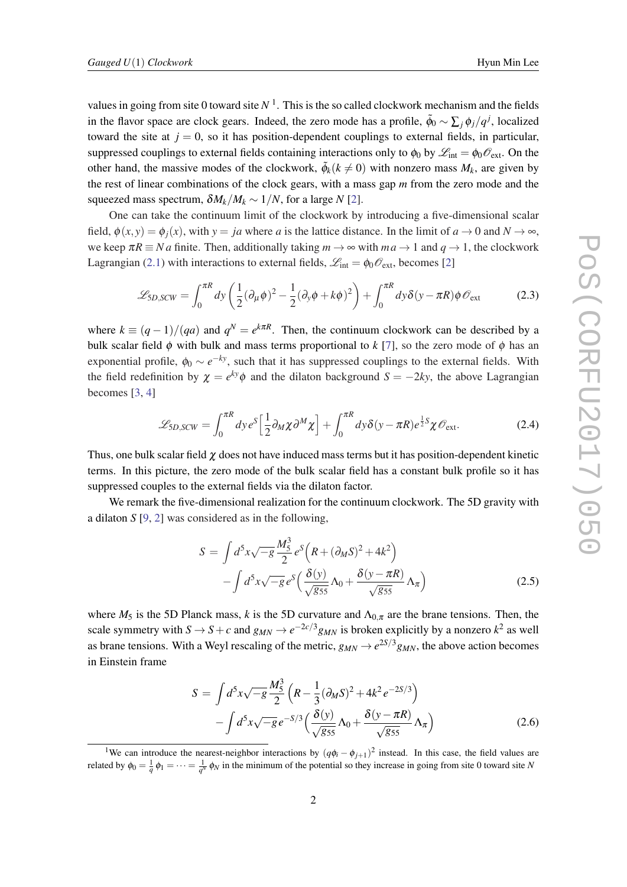values in going from site 0 toward site  $N<sup>1</sup>$ . This is the so called clockwork mechanism and the fields in the flavor space are clock gears. Indeed, the zero mode has a profile,  $\tilde{\phi}_0 \sim \sum_j \phi_j / q^j$ , localized toward the site at  $j = 0$ , so it has position-dependent couplings to external fields, in particular, suppressed couplings to external fields containing interactions only to  $\phi_0$  by  $\mathscr{L}_{int} = \phi_0 \mathscr{O}_{ext}$ . On the other hand, the massive modes of the clockwork,  $\tilde{\phi}_k (k \neq 0)$  with nonzero mass  $M_k$ , are given by the rest of linear combinations of the clock gears, with a mass gap *m* from the zero mode and the squeezed mass spectrum,  $\delta M_k/M_k \sim 1/N$ , for a large *N* [\[2\]](#page-7-0).

One can take the continuum limit of the clockwork by introducing a five-dimensional scalar field,  $\phi(x, y) = \phi_i(x)$ , with  $y = ja$  where *a* is the lattice distance. In the limit of  $a \to 0$  and  $N \to \infty$ , we keep  $\pi R \equiv Na$  finite. Then, additionally taking  $m \to \infty$  with  $ma \to 1$  and  $q \to 1$ , the clockwork Lagrangian [\(2.1](#page-1-0)) with interactions to external fields,  $\mathcal{L}_{int} = \phi_0 \mathcal{O}_{ext}$ , becomes [\[2\]](#page-7-0)

$$
\mathcal{L}_{5D,SCW} = \int_0^{\pi R} dy \left( \frac{1}{2} (\partial_\mu \phi)^2 - \frac{1}{2} (\partial_y \phi + k\phi)^2 \right) + \int_0^{\pi R} dy \delta(y - \pi R) \phi \mathcal{O}_{\text{ext}}
$$
(2.3)

where  $k \equiv (q-1)/(qa)$  and  $q^N = e^{k\pi R}$ . Then, the continuum clockwork can be described by a bulk scalar field  $\phi$  with bulk and mass terms proportional to  $k$  [\[7\]](#page-7-0), so the zero mode of  $\phi$  has an exponential profile,  $\phi_0 \sim e^{-ky}$ , such that it has suppressed couplings to the external fields. With the field redefinition by  $\chi = e^{ky}\phi$  and the dilaton background  $S = -2ky$ , the above Lagrangian becomes [[3](#page-7-0), [4](#page-7-0)]

$$
\mathcal{L}_{5D,SCW} = \int_0^{\pi R} dy \, e^S \left[ \frac{1}{2} \partial_M \chi \partial^M \chi \right] + \int_0^{\pi R} dy \delta(y - \pi R) e^{\frac{1}{2}S} \chi \mathscr{O}_{\text{ext}}.
$$

Thus, one bulk scalar field  $\chi$  does not have induced mass terms but it has position-dependent kinetic terms. In this picture, the zero mode of the bulk scalar field has a constant bulk profile so it has suppressed couples to the external fields via the dilaton factor.

We remark the five-dimensional realization for the continuum clockwork. The 5D gravity with a dilaton *S* [[9](#page-7-0), [2](#page-7-0)] was considered as in the following,

$$
S = \int d^5x \sqrt{-g} \frac{M_5^3}{2} e^S \left( R + (\partial_M S)^2 + 4k^2 \right)
$$

$$
- \int d^5x \sqrt{-g} e^S \left( \frac{\delta(y)}{\sqrt{g_{55}}} \Lambda_0 + \frac{\delta(y - \pi R)}{\sqrt{g_{55}}} \Lambda_\pi \right) \tag{2.5}
$$

where  $M_5$  is the 5D Planck mass, k is the 5D curvature and  $\Lambda_{0,\pi}$  are the brane tensions. Then, the scale symmetry with  $S \to S + c$  and  $g_{MN} \to e^{-2c/3} g_{MN}$  is broken explicitly by a nonzero  $k^2$  as well as brane tensions. With a Weyl rescaling of the metric,  $g_{MN} \to e^{2S/3} g_{MN}$ , the above action becomes in Einstein frame

$$
S = \int d^5 x \sqrt{-g} \frac{M_5^3}{2} \left( R - \frac{1}{3} (\partial_M S)^2 + 4k^2 e^{-2S/3} \right) - \int d^5 x \sqrt{-g} e^{-S/3} \left( \frac{\delta(y)}{\sqrt{g_{55}}} \Lambda_0 + \frac{\delta(y - \pi R)}{\sqrt{g_{55}}} \Lambda_\pi \right)
$$
(2.6)

<sup>&</sup>lt;sup>1</sup>We can introduce the nearest-neighbor interactions by  $(q\phi_i - \phi_{j+1})^2$  instead. In this case, the field values are related by  $\phi_0 = \frac{1}{q} \phi_1 = \cdots = \frac{1}{q^N} \phi_N$  in the minimum of the potential so they increase in going from site 0 toward site *N*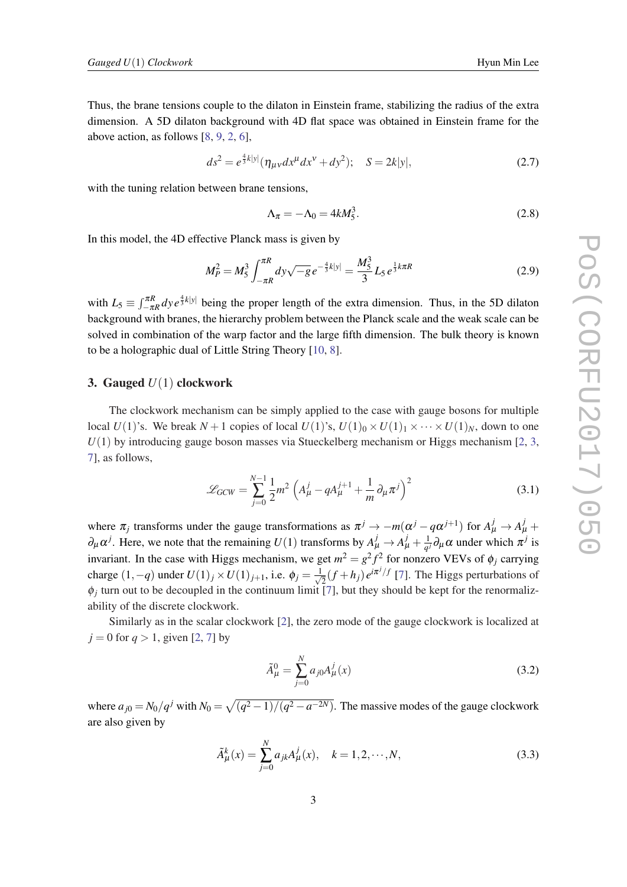Thus, the brane tensions couple to the dilaton in Einstein frame, stabilizing the radius of the extra dimension. A 5D dilaton background with 4D flat space was obtained in Einstein frame for the above action, as follows [[8,](#page-7-0) [9,](#page-7-0) [2,](#page-7-0) [6\]](#page-7-0),

$$
ds^{2} = e^{\frac{4}{3}k|y|}(\eta_{\mu\nu}dx^{\mu}dx^{\nu} + dy^{2}); \quad S = 2k|y|,
$$
 (2.7)

with the tuning relation between brane tensions,

$$
\Lambda_{\pi} = -\Lambda_0 = 4kM_5^3. \tag{2.8}
$$

In this model, the 4D effective Planck mass is given by

$$
M_P^2 = M_5^3 \int_{-\pi R}^{\pi R} dy \sqrt{-g} \, e^{-\frac{4}{3}k|y|} = \frac{M_5^3}{3} L_5 \, e^{\frac{1}{3}k\pi R} \tag{2.9}
$$

with  $L_5 \equiv \int_{-\pi R}^{\pi R} dy e^{\frac{4}{3}k|y|}$  being the proper length of the extra dimension. Thus, in the 5D dilaton background with branes, the hierarchy problem between the Planck scale and the weak scale can be solved in combination of the warp factor and the large fifth dimension. The bulk theory is known to be a holographic dual of Little String Theory [[10,](#page-7-0) [8\]](#page-7-0).

#### 3. Gauged *U*(1) clockwork

The clockwork mechanism can be simply applied to the case with gauge bosons for multiple local  $U(1)$ 's. We break  $N+1$  copies of local  $U(1)$ 's,  $U(1)_0 \times U(1)_1 \times \cdots \times U(1)_N$ , down to one  $U(1)$  by introducing gauge boson masses via Stueckelberg mechanism or Higgs mechanism  $[2, 3, 3]$  $[2, 3, 3]$  $[2, 3, 3]$  $[2, 3, 3]$  $[2, 3, 3]$ [7\]](#page-7-0), as follows,

$$
\mathcal{L}_{GCW} = \sum_{j=0}^{N-1} \frac{1}{2} m^2 \left( A^j_{\mu} - q A^{j+1}_{\mu} + \frac{1}{m} \partial_{\mu} \pi^j \right)^2 \tag{3.1}
$$

where  $\pi_j$  transforms under the gauge transformations as  $\pi^j \to -m(\alpha^j - q\alpha^{j+1})$  for  $A^j_\mu \to A^j_\mu +$  $\partial_{\mu} \alpha^{j}$ . Here, we note that the remaining  $U(1)$  transforms by  $A^{j}_{\mu} \rightarrow A^{j}_{\mu} + \frac{1}{q}$ .  $\frac{1}{q}$ *j* $\partial_{\mu} \alpha$  under which  $\pi^{j}$  is invariant. In the case with Higgs mechanism, we get  $m^2 = g^2 f^2$  for nonzero VEVs of  $\phi_j$  carrying charge  $(1, -q)$  under  $U(1)_j \times U(1)_{j+1}$ , i.e.  $\phi_j = \frac{1}{\sqrt{j}}$  $\frac{1}{2}(f+h_j)e^{i\pi^j/f}$  [\[7\]](#page-7-0). The Higgs perturbations of  $\phi_j$  turn out to be decoupled in the continuum limit [[7](#page-7-0)], but they should be kept for the renormalizability of the discrete clockwork.

Similarly as in the scalar clockwork [[2](#page-7-0)], the zero mode of the gauge clockwork is localized at  $j = 0$  for  $q > 1$ , given [\[2,](#page-7-0) [7](#page-7-0)] by

$$
\tilde{A}^0_{\mu} = \sum_{j=0}^{N} a_{j0} A^j_{\mu}(x)
$$
\n(3.2)

where  $a_{j0} = N_0/q^j$  with  $N_0 = \sqrt{(q^2-1)/(q^2-a^{-2N})}$ . The massive modes of the gauge clockwork are also given by

$$
\tilde{A}^{k}_{\mu}(x) = \sum_{j=0}^{N} a_{jk} A^{j}_{\mu}(x), \quad k = 1, 2, \cdots, N,
$$
\n(3.3)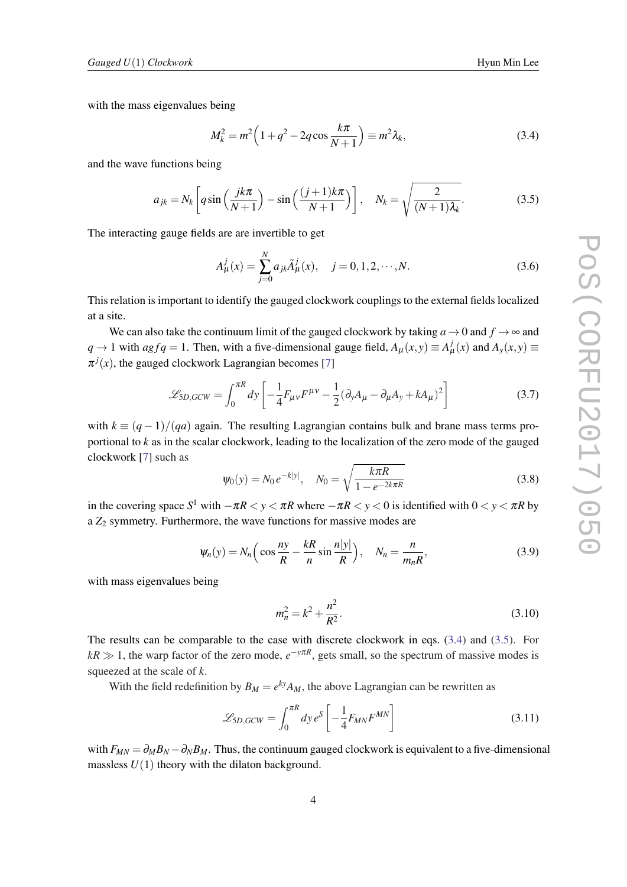<span id="page-4-0"></span>with the mass eigenvalues being

$$
M_k^2 = m^2 \left( 1 + q^2 - 2q \cos \frac{k\pi}{N+1} \right) \equiv m^2 \lambda_k,
$$
 (3.4)

and the wave functions being

$$
a_{jk} = N_k \left[ q \sin\left(\frac{jk\pi}{N+1}\right) - \sin\left(\frac{(j+1)k\pi}{N+1}\right) \right], \quad N_k = \sqrt{\frac{2}{(N+1)\lambda_k}}.
$$
 (3.5)

The interacting gauge fields are are invertible to get

$$
A^j_\mu(x) = \sum_{j=0}^N a_{jk} \tilde{A}^j_\mu(x), \quad j = 0, 1, 2, \cdots, N. \tag{3.6}
$$

This relation is important to identify the gauged clockwork couplings to the external fields localized at a site.

We can also take the continuum limit of the gauged clockwork by taking  $a \to 0$  and  $f \to \infty$  and *q* → 1 with *agfq* = 1. Then, with a five-dimensional gauge field,  $A_{\mu}(x, y) \equiv A_{\mu}^{j}(x)$  and  $A_{y}(x, y) \equiv$  $\pi^{j}(x)$ , the gauged clockwork Lagrangian becomes [[7](#page-7-0)]

$$
\mathcal{L}_{5D, GCW} = \int_0^{\pi R} dy \left[ -\frac{1}{4} F_{\mu\nu} F^{\mu\nu} - \frac{1}{2} (\partial_y A_\mu - \partial_\mu A_y + k A_\mu)^2 \right]
$$
(3.7)

with  $k \equiv (q-1)/(qa)$  again. The resulting Lagrangian contains bulk and brane mass terms proportional to *k* as in the scalar clockwork, leading to the localization of the zero mode of the gauged clockwork [[7](#page-7-0)] such as

$$
\psi_0(y) = N_0 e^{-k|y|}, \quad N_0 = \sqrt{\frac{k\pi R}{1 - e^{-2k\pi R}}}
$$
\n(3.8)

in the covering space  $S^1$  with  $-\pi R < y < \pi R$  where  $-\pi R < y < 0$  is identified with  $0 < y < \pi R$  by a  $Z_2$  symmetry. Furthermore, the wave functions for massive modes are

$$
\psi_n(y) = N_n \left( \cos \frac{ny}{R} - \frac{kR}{n} \sin \frac{n|y|}{R} \right), \quad N_n = \frac{n}{m_n R}, \tag{3.9}
$$

with mass eigenvalues being

$$
m_n^2 = k^2 + \frac{n^2}{R^2}.
$$
\n(3.10)

The results can be comparable to the case with discrete clockwork in eqs. (3.4) and (3.5). For  $kR \gg 1$ , the warp factor of the zero mode,  $e^{-y\pi R}$ , gets small, so the spectrum of massive modes is squeezed at the scale of *k*.

With the field redefinition by  $B_M = e^{ky}A_M$ , the above Lagrangian can be rewritten as

$$
\mathcal{L}_{5D, GCW} = \int_0^{\pi R} dy \, e^S \left[ -\frac{1}{4} F_{MN} F^{MN} \right] \tag{3.11}
$$

with  $F_{MN} = \partial_M B_N - \partial_N B_M$ . Thus, the continuum gauged clockwork is equivalent to a five-dimensional massless  $U(1)$  theory with the dilaton background.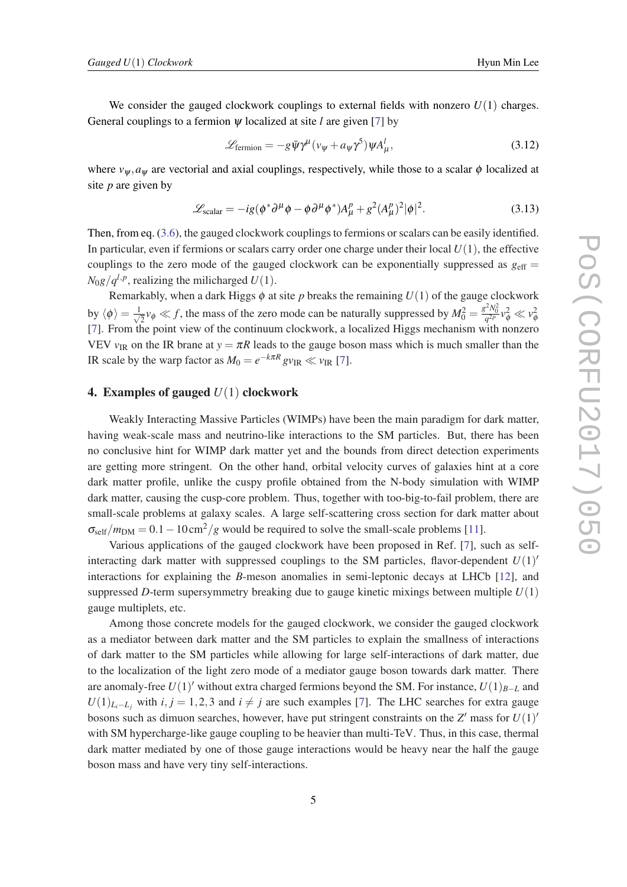We consider the gauged clockwork couplings to external fields with nonzero  $U(1)$  charges. General couplings to a fermion  $\psi$  localized at site *l* are given [\[7](#page-7-0)] by

$$
\mathcal{L}_{\text{fermion}} = -g\bar{\psi}\gamma^{\mu}(\nu_{\psi} + a_{\psi}\gamma^{5})\psi A_{\mu}^{l}, \qquad (3.12)
$$

where  $v_{\psi}$ ,  $a_{\psi}$  are vectorial and axial couplings, respectively, while those to a scalar  $\phi$  localized at site *p* are given by

$$
\mathcal{L}_{\text{scalar}} = -ig(\phi^* \partial^\mu \phi - \phi \partial^\mu \phi^*) A^p_\mu + g^2 (A^p_\mu)^2 |\phi|^2. \tag{3.13}
$$

Then, from eq. ([3.6](#page-4-0)), the gauged clockwork couplings to fermions or scalars can be easily identified. In particular, even if fermions or scalars carry order one charge under their local  $U(1)$ , the effective couplings to the zero mode of the gauged clockwork can be exponentially suppressed as  $g_{\text{eff}} =$  $N_0g/q^{l,p}$ , realizing the milicharged  $U(1)$ .

Remarkably, when a dark Higgs  $\phi$  at site *p* breaks the remaining  $U(1)$  of the gauge clockwork by  $\langle \phi \rangle = \frac{1}{\sqrt{2}}$  $\frac{1}{2}v_{\phi} \ll f$ , the mass of the zero mode can be naturally suppressed by  $M_0^2 = \frac{g^2 N_0^2}{q^2 p} v_{\phi}^2 \ll v_{\phi}^2$ [[7](#page-7-0)]. From the point view of the continuum clockwork, a localized Higgs mechanism with nonzero VEV  $v_{IR}$  on the IR brane at  $y = \pi R$  leads to the gauge boson mass which is much smaller than the IR scale by the warp factor as  $M_0 = e^{-k\pi R} g v_{\text{IR}} \ll v_{\text{IR}}$  [[7](#page-7-0)].

#### 4. Examples of gauged *U*(1) clockwork

Weakly Interacting Massive Particles (WIMPs) have been the main paradigm for dark matter, having weak-scale mass and neutrino-like interactions to the SM particles. But, there has been no conclusive hint for WIMP dark matter yet and the bounds from direct detection experiments are getting more stringent. On the other hand, orbital velocity curves of galaxies hint at a core dark matter profile, unlike the cuspy profile obtained from the N-body simulation with WIMP dark matter, causing the cusp-core problem. Thus, together with too-big-to-fail problem, there are small-scale problems at galaxy scales. A large self-scattering cross section for dark matter about  $\sigma_{\text{self}}/m_{\text{DM}} = 0.1 - 10 \text{ cm}^2/g$  would be required to solve the small-scale problems [[11](#page-7-0)].

Various applications of the gauged clockwork have been proposed in Ref. [[7](#page-7-0)], such as selfinteracting dark matter with suppressed couplings to the SM particles, flavor-dependent  $U(1)$ <sup>'</sup> interactions for explaining the *B*-meson anomalies in semi-leptonic decays at LHCb [\[12\]](#page-7-0), and suppressed *D*-term supersymmetry breaking due to gauge kinetic mixings between multiple *U*(1) gauge multiplets, etc.

Among those concrete models for the gauged clockwork, we consider the gauged clockwork as a mediator between dark matter and the SM particles to explain the smallness of interactions of dark matter to the SM particles while allowing for large self-interactions of dark matter, due to the localization of the light zero mode of a mediator gauge boson towards dark matter. There are anomaly-free  $U(1)$ <sup>'</sup> without extra charged fermions beyond the SM. For instance,  $U(1)_{B-L}$  and  $U(1)_{L_i-L_i}$  with *i*, *j* = 1,2,3 and *i*  $\neq$  *j* are such examples [[7](#page-7-0)]. The LHC searches for extra gauge bosons such as dimuon searches, however, have put stringent constraints on the  $Z'$  mass for  $U(1)'$ with SM hypercharge-like gauge coupling to be heavier than multi-TeV. Thus, in this case, thermal dark matter mediated by one of those gauge interactions would be heavy near the half the gauge boson mass and have very tiny self-interactions.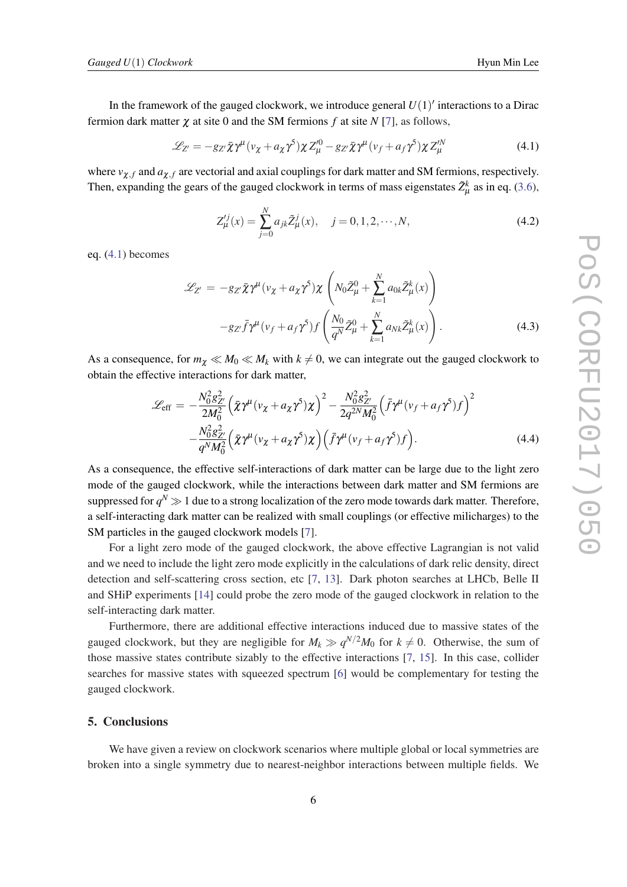In the framework of the gauged clockwork, we introduce general  $U(1)'$  interactions to a Dirac fermion dark matter χ at site 0 and the SM fermions *f* at site *N* [\[7\]](#page-7-0), as follows,

$$
\mathcal{L}_{Z'} = -g_{Z'}\bar{\chi}\gamma^{\mu}(\nu_{\chi} + a_{\chi}\gamma^5)\chi Z^{\prime 0}_{\mu} - g_{Z'}\bar{\chi}\gamma^{\mu}(\nu_f + a_f\gamma^5)\chi Z^{\prime N}_{\mu}
$$
(4.1)

where  $v_{\chi,f}$  and  $a_{\chi,f}$  are vectorial and axial couplings for dark matter and SM fermions, respectively. Then, expanding the gears of the gauged clockwork in terms of mass eigenstates  $\tilde{Z}^k_\mu$  as in eq. ([3.6\)](#page-4-0),

$$
Z_{\mu}^{ij}(x) = \sum_{j=0}^{N} a_{jk} \tilde{Z}_{\mu}^{j}(x), \quad j = 0, 1, 2, \cdots, N,
$$
\n(4.2)

eq. (4.1) becomes

$$
\mathcal{L}_{Z'} = -g_{Z'}\bar{\chi}\gamma^{\mu}(\nu_{\chi} + a_{\chi}\gamma^5)\chi\left(N_0\tilde{Z}_{\mu}^0 + \sum_{k=1}^N a_{0k}\tilde{Z}_{\mu}^k(x)\right)
$$

$$
-g_{Z'}\bar{f}\gamma^{\mu}(\nu_f + a_f\gamma^5)f\left(\frac{N_0}{q^N}\tilde{Z}_{\mu}^0 + \sum_{k=1}^N a_{Nk}\tilde{Z}_{\mu}^k(x)\right).
$$
(4.3)

As a consequence, for  $m_\chi \ll M_0 \ll M_k$  with  $k \neq 0$ , we can integrate out the gauged clockwork to obtain the effective interactions for dark matter,

$$
\mathcal{L}_{\text{eff}} = -\frac{N_0^2 g_{Z'}^2}{2M_0^2} \left( \bar{\chi} \gamma^{\mu} (v_{\chi} + a_{\chi} \gamma^5) \chi \right)^2 - \frac{N_0^2 g_{Z'}^2}{2q^{2N} M_0^2} \left( \bar{f} \gamma^{\mu} (v_f + a_f \gamma^5) f \right)^2 -\frac{N_0^2 g_{Z'}^2}{q^N M_0^2} \left( \bar{\chi} \gamma^{\mu} (v_{\chi} + a_{\chi} \gamma^5) \chi \right) \left( \bar{f} \gamma^{\mu} (v_f + a_f \gamma^5) f \right).
$$
 (4.4)

As a consequence, the effective self-interactions of dark matter can be large due to the light zero mode of the gauged clockwork, while the interactions between dark matter and SM fermions are suppressed for  $q^N\gg 1$  due to a strong localization of the zero mode towards dark matter. Therefore, a self-interacting dark matter can be realized with small couplings (or effective milicharges) to the SM particles in the gauged clockwork models [[7\]](#page-7-0).

For a light zero mode of the gauged clockwork, the above effective Lagrangian is not valid and we need to include the light zero mode explicitly in the calculations of dark relic density, direct detection and self-scattering cross section, etc [\[7,](#page-7-0) [13\]](#page-7-0). Dark photon searches at LHCb, Belle II and SHiP experiments [\[14](#page-7-0)] could probe the zero mode of the gauged clockwork in relation to the self-interacting dark matter.

Furthermore, there are additional effective interactions induced due to massive states of the gauged clockwork, but they are negligible for  $M_k \gg q^{N/2}M_0$  for  $k \neq 0$ . Otherwise, the sum of those massive states contribute sizably to the effective interactions [\[7,](#page-7-0) [15\]](#page-7-0). In this case, collider searches for massive states with squeezed spectrum [\[6\]](#page-7-0) would be complementary for testing the gauged clockwork.

### 5. Conclusions

We have given a review on clockwork scenarios where multiple global or local symmetries are broken into a single symmetry due to nearest-neighbor interactions between multiple fields. We